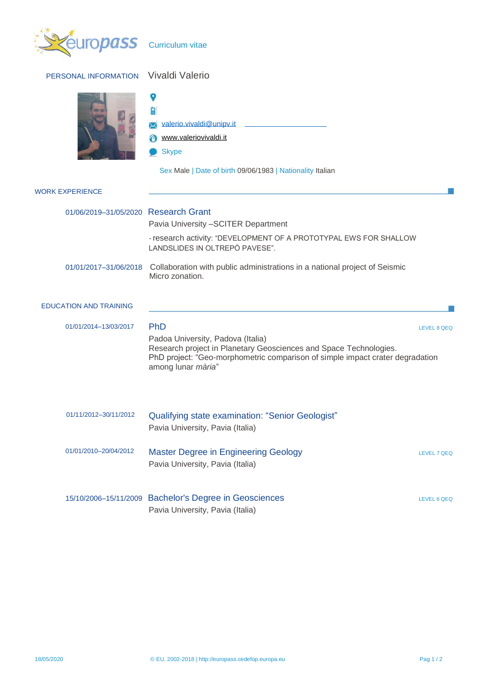| PERSONAL INFORMATION                 | Vivaldi Valerio                                                                                                                                                                                                      |             |
|--------------------------------------|----------------------------------------------------------------------------------------------------------------------------------------------------------------------------------------------------------------------|-------------|
|                                      | 自<br>valerio.vivaldi@unipv.it<br>www.valeriovivaldi.it<br><b>Skype</b><br>Sex Male   Date of birth 09/06/1983   Nationality Italian                                                                                  |             |
| <b>WORK EXPERIENCE</b>               |                                                                                                                                                                                                                      |             |
| 01/06/2019-31/05/2020 Research Grant | Pavia University - SCITER Department                                                                                                                                                                                 |             |
|                                      | - research activity: "DEVELOPMENT OF A PROTOTYPAL EWS FOR SHALLOW<br>LANDSLIDES IN OLTREPÒ PAVESE".                                                                                                                  |             |
| 01/01/2017-31/06/2018                | Collaboration with public administrations in a national project of Seismic<br>Micro zonation.                                                                                                                        |             |
| <b>EDUCATION AND TRAINING</b>        |                                                                                                                                                                                                                      |             |
| 01/01/2014-13/03/2017                | PhD<br>Padoa University, Padova (Italia)<br>Research project in Planetary Geosciences and Space Technologies.<br>PhD project: "Geo-morphometric comparison of simple impact crater degradation<br>among lunar mària" | LEVEL 8 QEQ |
| 01/11/2012-30/11/2012                | <b>Qualifying state examination: "Senior Geologist"</b><br>Pavia University, Pavia (Italia)                                                                                                                          |             |
| 01/01/2010-20/04/2012                | <b>Master Degree in Engineering Geology</b><br>Pavia University, Pavia (Italia)                                                                                                                                      | LEVEL 7 QEQ |
|                                      | 15/10/2006-15/11/2009 Bachelor's Degree in Geosciences<br>Pavia University, Pavia (Italia)                                                                                                                           | LEVEL 6 QEQ |